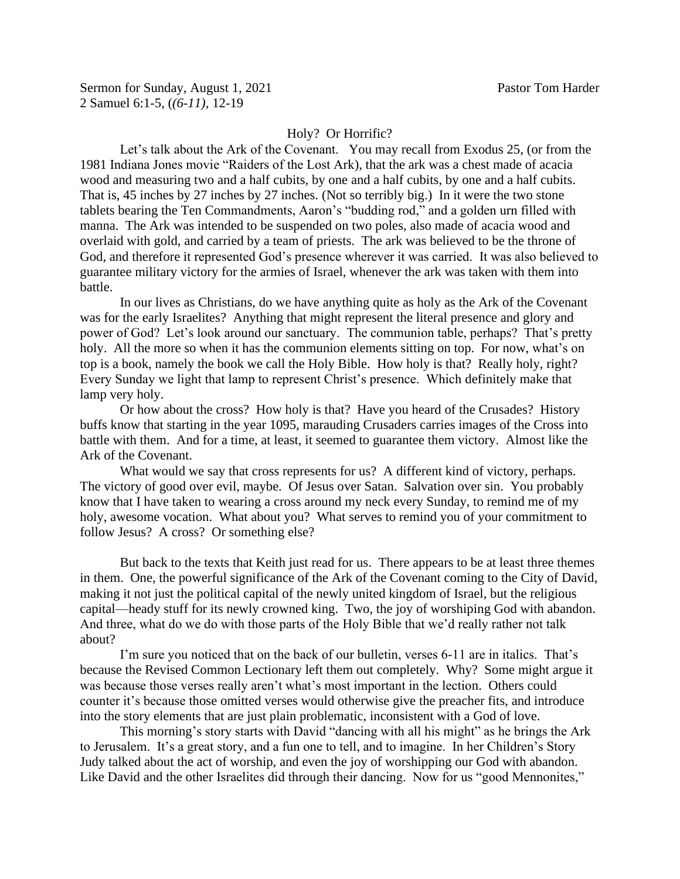## Holy? Or Horrific?

Let's talk about the Ark of the Covenant. You may recall from Exodus 25, (or from the 1981 Indiana Jones movie "Raiders of the Lost Ark), that the ark was a chest made of acacia wood and measuring two and a half cubits, by one and a half cubits, by one and a half cubits. That is, 45 inches by 27 inches by 27 inches. (Not so terribly big.) In it were the two stone tablets bearing the Ten Commandments, Aaron's "budding rod," and a golden urn filled with manna. The Ark was intended to be suspended on two poles, also made of acacia wood and overlaid with gold, and carried by a team of priests. The ark was believed to be the throne of God, and therefore it represented God's presence wherever it was carried. It was also believed to guarantee military victory for the armies of Israel, whenever the ark was taken with them into battle.

In our lives as Christians, do we have anything quite as holy as the Ark of the Covenant was for the early Israelites? Anything that might represent the literal presence and glory and power of God? Let's look around our sanctuary. The communion table, perhaps? That's pretty holy. All the more so when it has the communion elements sitting on top. For now, what's on top is a book, namely the book we call the Holy Bible. How holy is that? Really holy, right? Every Sunday we light that lamp to represent Christ's presence. Which definitely make that lamp very holy.

Or how about the cross? How holy is that? Have you heard of the Crusades? History buffs know that starting in the year 1095, marauding Crusaders carries images of the Cross into battle with them. And for a time, at least, it seemed to guarantee them victory. Almost like the Ark of the Covenant.

What would we say that cross represents for us? A different kind of victory, perhaps. The victory of good over evil, maybe. Of Jesus over Satan. Salvation over sin. You probably know that I have taken to wearing a cross around my neck every Sunday, to remind me of my holy, awesome vocation. What about you? What serves to remind you of your commitment to follow Jesus? A cross? Or something else?

But back to the texts that Keith just read for us. There appears to be at least three themes in them. One, the powerful significance of the Ark of the Covenant coming to the City of David, making it not just the political capital of the newly united kingdom of Israel, but the religious capital—heady stuff for its newly crowned king. Two, the joy of worshiping God with abandon. And three, what do we do with those parts of the Holy Bible that we'd really rather not talk about?

I'm sure you noticed that on the back of our bulletin, verses 6-11 are in italics. That's because the Revised Common Lectionary left them out completely. Why? Some might argue it was because those verses really aren't what's most important in the lection. Others could counter it's because those omitted verses would otherwise give the preacher fits, and introduce into the story elements that are just plain problematic, inconsistent with a God of love.

This morning's story starts with David "dancing with all his might" as he brings the Ark to Jerusalem. It's a great story, and a fun one to tell, and to imagine. In her Children's Story Judy talked about the act of worship, and even the joy of worshipping our God with abandon. Like David and the other Israelites did through their dancing. Now for us "good Mennonites,"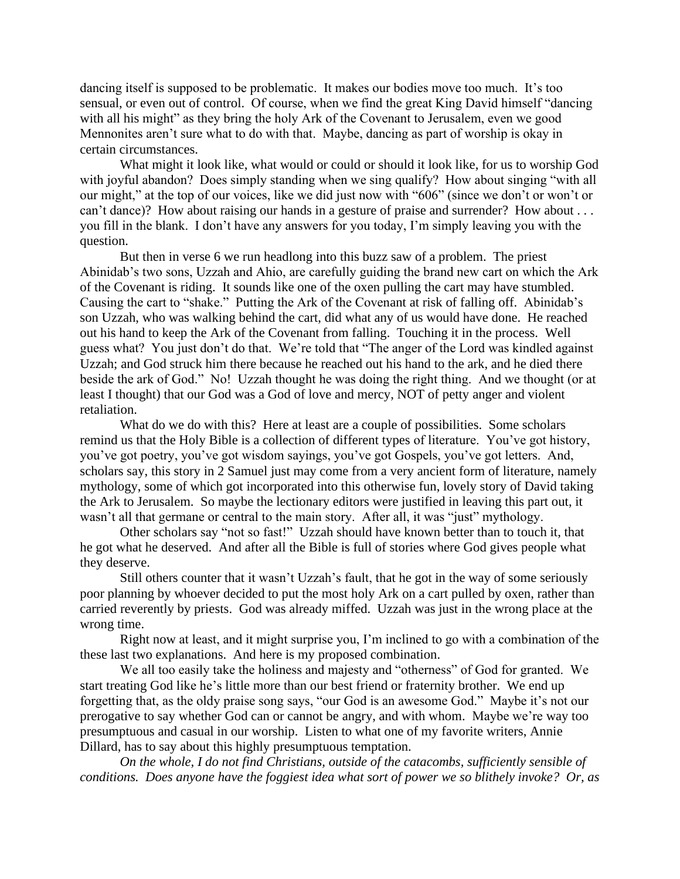dancing itself is supposed to be problematic. It makes our bodies move too much. It's too sensual, or even out of control. Of course, when we find the great King David himself "dancing with all his might" as they bring the holy Ark of the Covenant to Jerusalem, even we good Mennonites aren't sure what to do with that. Maybe, dancing as part of worship is okay in certain circumstances.

What might it look like, what would or could or should it look like, for us to worship God with joyful abandon? Does simply standing when we sing qualify? How about singing "with all our might," at the top of our voices, like we did just now with "606" (since we don't or won't or can't dance)? How about raising our hands in a gesture of praise and surrender? How about . . . you fill in the blank. I don't have any answers for you today, I'm simply leaving you with the question.

But then in verse 6 we run headlong into this buzz saw of a problem. The priest Abinidab's two sons, Uzzah and Ahio, are carefully guiding the brand new cart on which the Ark of the Covenant is riding. It sounds like one of the oxen pulling the cart may have stumbled. Causing the cart to "shake." Putting the Ark of the Covenant at risk of falling off. Abinidab's son Uzzah, who was walking behind the cart, did what any of us would have done. He reached out his hand to keep the Ark of the Covenant from falling. Touching it in the process. Well guess what? You just don't do that. We're told that "The anger of the Lord was kindled against Uzzah; and God struck him there because he reached out his hand to the ark, and he died there beside the ark of God." No! Uzzah thought he was doing the right thing. And we thought (or at least I thought) that our God was a God of love and mercy, NOT of petty anger and violent retaliation.

What do we do with this? Here at least are a couple of possibilities. Some scholars remind us that the Holy Bible is a collection of different types of literature. You've got history, you've got poetry, you've got wisdom sayings, you've got Gospels, you've got letters. And, scholars say, this story in 2 Samuel just may come from a very ancient form of literature, namely mythology, some of which got incorporated into this otherwise fun, lovely story of David taking the Ark to Jerusalem. So maybe the lectionary editors were justified in leaving this part out, it wasn't all that germane or central to the main story. After all, it was "just" mythology.

Other scholars say "not so fast!" Uzzah should have known better than to touch it, that he got what he deserved. And after all the Bible is full of stories where God gives people what they deserve.

Still others counter that it wasn't Uzzah's fault, that he got in the way of some seriously poor planning by whoever decided to put the most holy Ark on a cart pulled by oxen, rather than carried reverently by priests. God was already miffed. Uzzah was just in the wrong place at the wrong time.

Right now at least, and it might surprise you, I'm inclined to go with a combination of the these last two explanations. And here is my proposed combination.

We all too easily take the holiness and majesty and "otherness" of God for granted. We start treating God like he's little more than our best friend or fraternity brother. We end up forgetting that, as the oldy praise song says, "our God is an awesome God." Maybe it's not our prerogative to say whether God can or cannot be angry, and with whom. Maybe we're way too presumptuous and casual in our worship. Listen to what one of my favorite writers, Annie Dillard, has to say about this highly presumptuous temptation.

*On the whole, I do not find Christians, outside of the catacombs, sufficiently sensible of conditions. Does anyone have the foggiest idea what sort of power we so blithely invoke? Or, as*